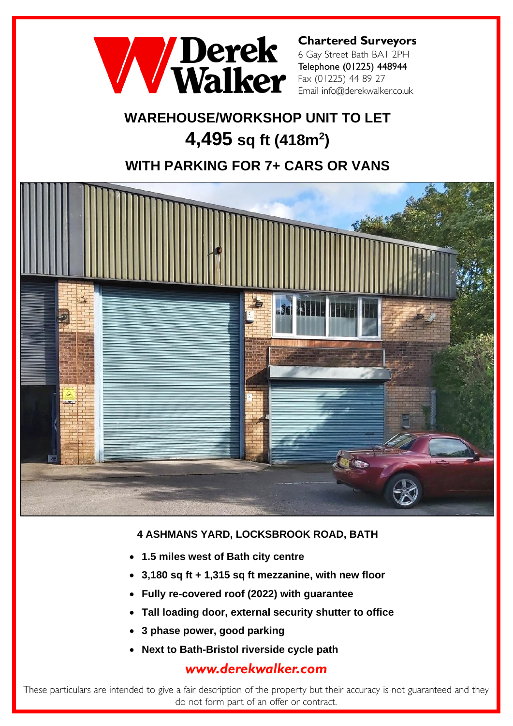

**Chartered Surveyors** 6 Gay Street Bath BAI 2PH Telephone (01225) 448944 Fax (01225) 44 89 27 Email info@derekwalker.co.uk

# **WAREHOUSE/WORKSHOP UNIT TO LET 4,495 sq ft (418m<sup>2</sup> )**

## **WITH PARKING FOR 7+ CARS OR VANS**



### **4 ASHMANS YARD, LOCKSBROOK ROAD, BATH**

- **1.5 miles west of Bath city centre**
- **3,180 sq ft + 1,315 sq ft mezzanine, with new floor**
- **Fully re-covered roof (2022) with guarantee**
- **Tall loading door, external security shutter to office**
- **3 phase power, good parking**
- **Next to Bath-Bristol riverside cycle path**

## www.derekwalker.com

These particulars are intended to give a fair description of the property but their accuracy is not guaranteed and they do not form part of an offer or contract.